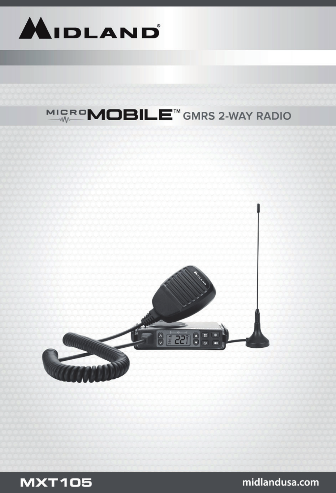

# MICROMOBILE<sup>™</sup> GMRS 2-WAY RADIO



**MXT105** 

midlandusa.com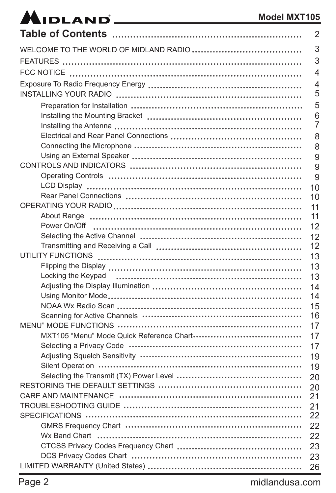#### **Model MXT105**

|                                           | $\overline{2}$      |
|-------------------------------------------|---------------------|
| WELCOME TO THE WORLD OF MIDLAND RADIO     | 3                   |
|                                           | 3                   |
|                                           | 4                   |
|                                           | $\overline{4}$<br>5 |
|                                           | 5                   |
|                                           | 6                   |
|                                           | $\overline{7}$      |
|                                           | 8                   |
|                                           | 8                   |
|                                           | 9                   |
|                                           | 9                   |
|                                           | 9                   |
|                                           | 10                  |
|                                           | 10                  |
|                                           | 11                  |
|                                           | 11                  |
| Power On/Off                              | 12                  |
|                                           | 12                  |
|                                           | 12                  |
|                                           | 13                  |
|                                           | 13                  |
|                                           | 13                  |
|                                           | 14<br>14            |
|                                           | 15                  |
|                                           | 16                  |
|                                           | 17                  |
|                                           | 17                  |
|                                           | 17                  |
|                                           | 19                  |
| Silent Operation ……………………………………………………………… | 19                  |
|                                           | 20                  |
|                                           | 20                  |
|                                           | 21                  |
|                                           | 21                  |
|                                           | 22                  |
|                                           | 22                  |
|                                           | 22                  |
|                                           | 23                  |
|                                           | 23                  |
|                                           | 26                  |

 $A \cup B$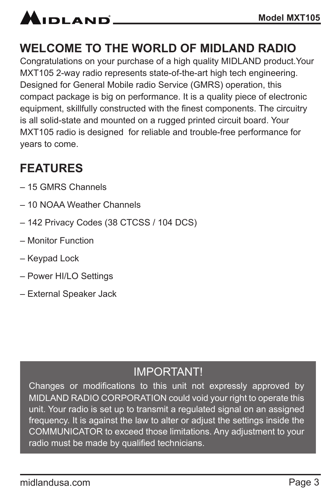

# **WELCOME TO THE WORLD OF MIDLAND RADIO**

Congratulations on your purchase of a high quality MIDLAND product.Your MXT105 2-way radio represents state-of-the-art high tech engineering. Designed for General Mobile radio Service (GMRS) operation, this compact package is big on performance. It is a quality piece of electronic equipment, skillfully constructed with the finest components. The circuitry is all solid-state and mounted on a rugged printed circuit board. Your MXT105 radio is designed for reliable and trouble-free performance for years to come.

## **FEATURES**

- 15 GMRS Channels
- 10 NOAA Weather Channels
- 142 Privacy Codes (38 CTCSS / 104 DCS)
- Monitor Function
- Keypad Lock
- Power HI/LO Settings
- External Speaker Jack

#### **IMPORTANTI**

Changes or modifications to this unit not expressly approved by MIDLAND RADIO CORPORATION could void your right to operate this unit. Your radio is set up to transmit a regulated signal on an assigned frequency. It is against the law to alter or adjust the settings inside the COMMUNICATOR to exceed those limitations. Any adjustment to your radio must be made by qualified technicians.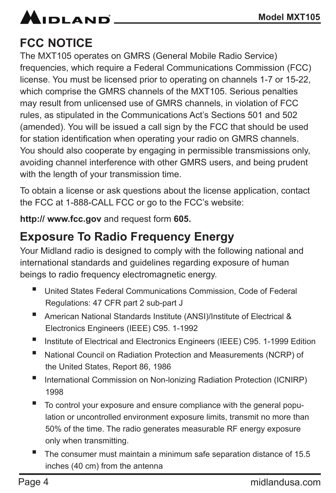

# **FCC NOTICE**

The MXT105 operates on GMRS (General Mobile Radio Service) frequencies, which require a Federal Communications Commission (FCC) license. You must be licensed prior to operating on channels 1-7 or 15-22, which comprise the GMRS channels of the MXT105. Serious penalties may result from unlicensed use of GMRS channels, in violation of FCC rules, as stipulated in the Communications Act's Sections 501 and 502 (amended). You will be issued a call sign by the FCC that should be used for station identification when operating your radio on GMRS channels. You should also cooperate by engaging in permissible transmissions only, avoiding channel interference with other GMRS users, and being prudent with the length of your transmission time.

To obtain a license or ask questions about the license application, contact the FCC at 1-888-CALL FCC or go to the FCC's website:

**http:// www.fcc.gov** and request form **605.**

# **Exposure To Radio Frequency Energy**

Your Midland radio is designed to comply with the following national and international standards and guidelines regarding exposure of human beings to radio frequency electromagnetic energy.

- United States Federal Communications Commission, Code of Federal Regulations: 47 CFR part 2 sub-part J
- American National Standards Institute (ANSI)/Institute of Electrical & Electronics Engineers (IEEE) C95. 1-1992
- Institute of Electrical and Electronics Engineers (IEEE) C95, 1-1999 Edition
- National Council on Radiation Protection and Measurements (NCRP) of the United States, Report 86, 1986
- International Commission on Non-Ionizing Radiation Protection (ICNIRP) 1998
- To control your exposure and ensure compliance with the general population or uncontrolled environment exposure limits, transmit no more than 50% of the time. The radio generates measurable RF energy exposure only when transmitting.
- The consumer must maintain a minimum safe separation distance of 15.5 inches (40 cm) from the antenna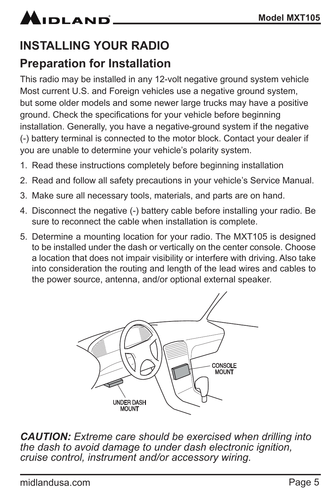# AIDLAND

# **INSTALLING YOUR RADIO**

# **Preparation for Installation**

This radio may be installed in any 12-volt negative ground system vehicle Most current U.S. and Foreign vehicles use a negative ground system, but some older models and some newer large trucks may have a positive ground. Check the specifications for your vehicle before beginning installation. Generally, you have a negative-ground system if the negative (-) battery terminal is connected to the motor block. Contact your dealer if you are unable to determine your vehicle's polarity system.

- 1. Read these instructions completely before beginning installation
- 2. Read and follow all safety precautions in your vehicle's Service Manual.
- 3. Make sure all necessary tools, materials, and parts are on hand.
- 4. Disconnect the negative (-) battery cable before installing your radio. Be sure to reconnect the cable when installation is complete.
- 5. Determine a mounting location for your radio. The MXT105 is designed to be installed under the dash or vertically on the center console. Choose a location that does not impair visibility or interfere with driving. Also take into consideration the routing and length of the lead wires and cables to the power source, antenna, and/or optional external speaker.



*CAUTION: Extreme care should be exercised when drilling into the dash to avoid damage to under dash electronic ignition, cruise control, instrument and/or accessory wiring.*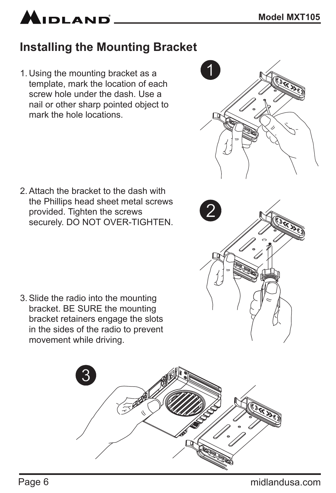#### **Installing the Mounting Bracket**

- 1. Using the mounting bracket as a template, mark the location of each screw hole under the dash. Use a nail or other sharp pointed object to mark the hole locations.
- 
- 2.Attach the bracket to the dash with the Phillips head sheet metal screws provided. Tighten the screws securely. DO NOT OVER-TIGHTEN.

3.Slide the radio into the mounting bracket. BE SURE the mounting bracket retainers engage the slots in the sides of the radio to prevent movement while driving.





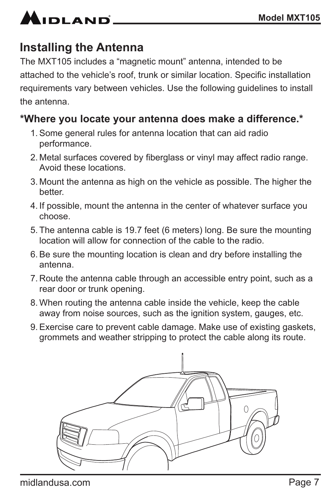

#### **Installing the Antenna**

The MXT105 includes a "magnetic mount" antenna, intended to be attached to the vehicle's roof, trunk or similar location. Specific installation requirements vary between vehicles. Use the following guidelines to install the antenna.

#### **\*Where you locate your antenna does make a difference.\***

- 1.Some general rules for antenna location that can aid radio performance.
- 2. Metal surfaces covered by fiberglass or vinyl may affect radio range. Avoid these locations.
- 3. Mount the antenna as high on the vehicle as possible. The higher the better.
- 4. If possible, mount the antenna in the center of whatever surface you choose.
- 5. The antenna cable is 19.7 feet (6 meters) long. Be sure the mounting location will allow for connection of the cable to the radio.
- 6.Be sure the mounting location is clean and dry before installing the antenna.
- 7. Route the antenna cable through an accessible entry point, such as a rear door or trunk opening.
- 8. When routing the antenna cable inside the vehicle, keep the cable away from noise sources, such as the ignition system, gauges, etc.
- 9. Exercise care to prevent cable damage. Make use of existing gaskets, grommets and weather stripping to protect the cable along its route.

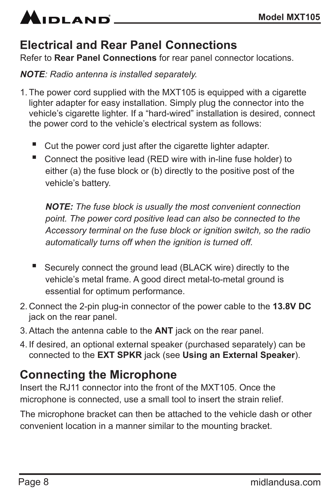

**AIDLAND** 

Refer to **Rear Panel Connections** for rear panel connector locations.

*NOTE: Radio antenna is installed separately.*

- 1. The power cord supplied with the MXT105 is equipped with a cigarette lighter adapter for easy installation. Simply plug the connector into the vehicle's cigarette lighter. If a "hard-wired" installation is desired, connect the power cord to the vehicle's electrical system as follows:
	- Cut the power cord just after the cigarette lighter adapter.
	- Connect the positive lead (RED wire with in-line fuse holder) to either (a) the fuse block or (b) directly to the positive post of the vehicle's battery.

*NOTE: The fuse block is usually the most convenient connection point. The power cord positive lead can also be connected to the Accessory terminal on the fuse block or ignition switch, so the radio automatically turns off when the ignition is turned off.*

- Securely connect the ground lead (BLACK wire) directly to the vehicle's metal frame. A good direct metal-to-metal ground is essential for optimum performance.
- 2. Connect the 2-pin plug-in connector of the power cable to the **13.8V DC** jack on the rear panel.
- 3.Attach the antenna cable to the **ANT** jack on the rear panel.
- 4. If desired, an optional external speaker (purchased separately) can be connected to the **EXT SPKR** jack (see **Using an External Speaker**).

#### **Connecting the Microphone**

Insert the RJ11 connector into the front of the MXT105. Once the microphone is connected, use a small tool to insert the strain relief.

The microphone bracket can then be attached to the vehicle dash or other convenient location in a manner similar to the mounting bracket.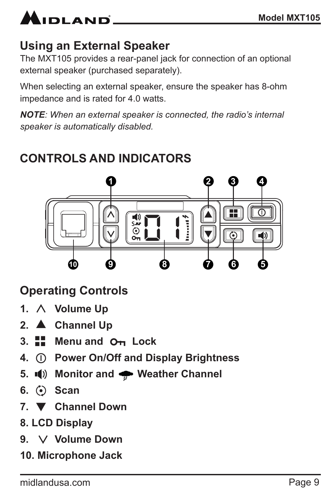

#### **Using an External Speaker**

The MXT105 provides a rear-panel jack for connection of an optional external speaker (purchased separately).

When selecting an external speaker, ensure the speaker has 8-ohm impedance and is rated for 4.0 watts.

*NOTE: When an external speaker is connected, the radio's internal speaker is automatically disabled.*

# **CONTROLS AND INDICATORS**



**Operating Controls**

- **1. Volume Up**
- **2. Channel Up**
- **3. Menu and Lock**
- 4. **C Power On/Off and Display Brightness**
- **5. (1)** Monitor and  $\rightarrow$  Weather Channel
- **6. Scan**
- **7. Channel Down**
- **8. LCD Display**
- **9. Volume Down**
- **10. Microphone Jack**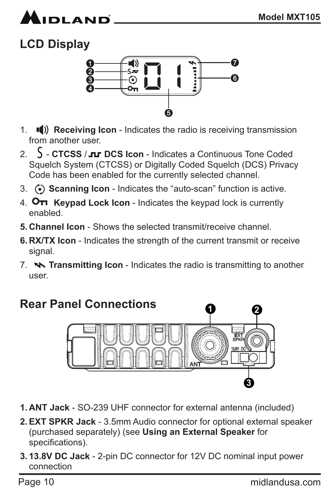# **LCD Display**

IDLAND



- 1. **ID** Receiving Icon Indicates the radio is receiving transmission from another user.
- 2.  $\int$  **CTCSS** / **DCS** Icon Indicates a Continuous Tone Coded Squelch System (CTCSS) or Digitally Coded Squelch (DCS) Privacy Code has been enabled for the currently selected channel.
- 3. **Scanning Icon** Indicates the "auto-scan" function is active.
- 4. **On** Keypad Lock Icon Indicates the keypad lock is currently enabled.
- **5. Channel Icon** Shows the selected transmit/receive channel.
- **6. RX/TX Icon** Indicates the strength of the current transmit or receive signal.
- 7. **Transmitting Icon** Indicates the radio is transmitting to another user.



- **1. ANT Jack** SO-239 UHF connector for external antenna (included)
- **2.EXT SPKR Jack** 3.5mm Audio connector for optional external speaker (purchased separately) (see **Using an External Speaker** for specifications).
- **3. 13.8V DC Jack** 2-pin DC connector for 12V DC nominal input power connection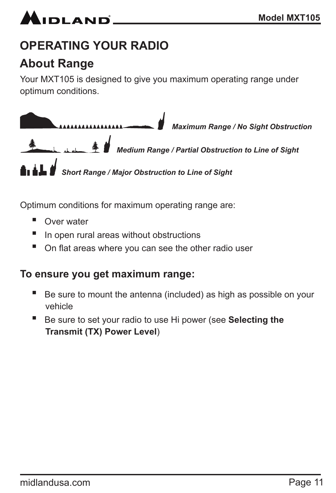# **A**IDLAND

# **OPERATING YOUR RADIO**

#### **About Range**

Your MXT105 is designed to give you maximum operating range under optimum conditions.



Optimum conditions for maximum operating range are:

- Over water
- In open rural areas without obstructions
- On flat areas where you can see the other radio user

#### **To ensure you get maximum range:**

- Be sure to mount the antenna (included) as high as possible on your vehicle
- Be sure to set your radio to use Hi power (see **Selecting the Transmit (TX) Power Level**)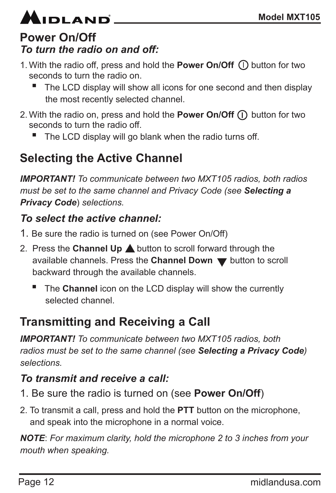# AIDLAND. **Power On/Off**

#### *To turn the radio on and off:*

- 1. With the radio off, press and hold the **Power On/Off (I)** button for two seconds to turn the radio on.
	- The LCD display will show all icons for one second and then display the most recently selected channel.
- 2. With the radio on, press and hold the **Power On/Off**  $\Omega$  button for two seconds to turn the radio off.
	- The LCD display will go blank when the radio turns off.

## **Selecting the Active Channel**

*IMPORTANT! To communicate between two MXT105 radios, both radios must be set to the same channel and Privacy Code (see Selecting a Privacy Code*) *selections.*

#### *To select the active channel:*

- 1. Be sure the radio is turned on (see Power On/Off)
- 2. Press the **Channel Up** button to scroll forward through the available channels. Press the **Channel Down v** button to scroll backward through the available channels.
	- The **Channel** icon on the LCD display will show the currently selected channel.

# **Transmitting and Receiving a Call**

*IMPORTANT! To communicate between two MXT105 radios, both radios must be set to the same channel (see Selecting a Privacy Code) selections.*

#### *To transmit and receive a call:*

- 1. Be sure the radio is turned on (see **Power On/Off**)
- 2. To transmit a call, press and hold the **PTT** button on the microphone, and speak into the microphone in a normal voice.

*NOTE*: *For maximum clarity, hold the microphone 2 to 3 inches from your mouth when speaking.*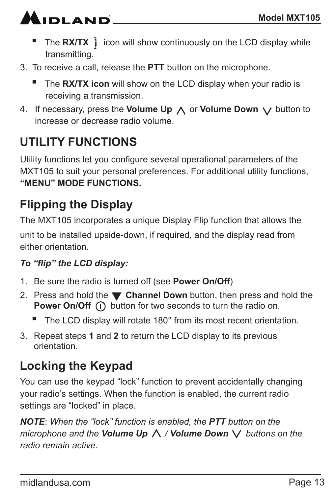

- The RX/TX icon will show continuously on the LCD display while transmitting.
- 3. To receive a call, release the **PTT** button on the microphone.
	- The **RX/TX icon** will show on the LCD display when your radio is receiving a transmission.
- 4. If necessary, press the Volume Up  $\land$  or Volume Down  $\lor$  button to increase or decrease radio volume.

# **UTILITY FUNCTIONS**

Utility functions let you configure several operational parameters of the MXT105 to suit your personal preferences. For additional utility functions, **"MENU" MODE FUNCTIONS.**

## **Flipping the Display**

The MXT105 incorporates a unique Display Flip function that allows the unit to be installed upside-down, if required, and the display read from either orientation.

#### *To "flip" the LCD display:*

- 1. Be sure the radio is turned off (see **Power On/Off**)
- 2. Press and hold the **V** Channel Down button, then press and hold the **Power On/Off**  $\cap$  button for two seconds to turn the radio on.
	- The LCD display will rotate 180° from its most recent orientation.
- 3. Repeat steps **1** and **2** to return the LCD display to its previous orientation.

#### **Locking the Keypad**

You can use the keypad "lock" function to prevent accidentally changing your radio's settings. When the function is enabled, the current radio settings are "locked" in place.

*NOTE*: *When the "lock" function is enabled, the PTT button on the microphone and the Volume Up* ∧ / *Volume Down* ∨ *buttons on the radio remain active.*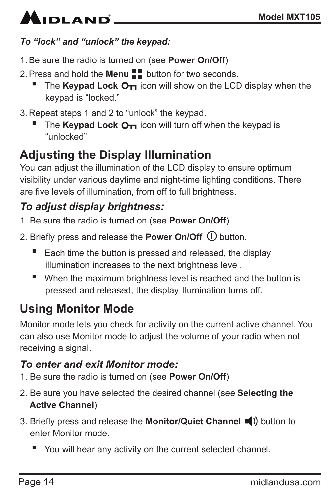AIDLAND

*To "lock" and "unlock" the keypad:*

- 1.Be sure the radio is turned on (see **Power On/Off**)
- 2. Press and hold the **Menu button** for two seconds.
	- The **Keypad Lock O<sub>TT</sub>** icon will show on the LCD display when the keypad is "locked."
- 3. Repeat steps 1 and 2 to "unlock" the keypad.
	- The Keypad Lock O<sub>TI</sub> icon will turn off when the keypad is "unlocked"

# **Adjusting the Display Illumination**

You can adjust the illumination of the LCD display to ensure optimum visibility under various daytime and night-time lighting conditions. There are five levels of illumination, from off to full brightness.

#### *To adjust display brightness:*

- 1. Be sure the radio is turned on (see **Power On/Off**)
- 2. Briefly press and release the **Power On/Off**  $\mathbb{O}$  button.
	- Each time the button is pressed and released, the display illumination increases to the next brightness level.
	- When the maximum brightness level is reached and the button is pressed and released, the display illumination turns off.

# **Using Monitor Mode**

Monitor mode lets you check for activity on the current active channel. You can also use Monitor mode to adjust the volume of your radio when not receiving a signal.

#### *To enter and exit Monitor mode:*

- 1. Be sure the radio is turned on (see **Power On/Off**)
- 2. Be sure you have selected the desired channel (see **Selecting the Active Channel**)
- 3. Briefly press and release the **Monitor/Quiet Channel** (button to enter Monitor mode.
	- You will hear any activity on the current selected channel.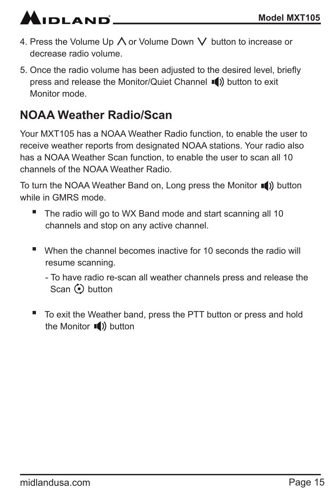

- 4. Press the Volume Up  $\bigwedge$  or Volume Down  $\bigvee$  button to increase or decrease radio volume.
- 5. Once the radio volume has been adjusted to the desired level, briefly press and release the Monitor/Quiet Channel **and** button to exit Monitor mode.

#### **NOAA Weather Radio/Scan**

Your MXT105 has a NOAA Weather Radio function, to enable the user to receive weather reports from designated NOAA stations. Your radio also has a NOAA Weather Scan function, to enable the user to scan all 10 channels of the NOAA Weather Radio.

To turn the NOAA Weather Band on, Long press the Monitor  $\blacksquare$ ) button while in GMRS mode.

- The radio will go to WX Band mode and start scanning all 10 channels and stop on any active channel.
- $\blacksquare$  When the channel becomes inactive for 10 seconds the radio will resume scanning.
	- To have radio re-scan all weather channels press and release the Scan  $\odot$  button
- To exit the Weather band, press the PTT button or press and hold the Monitor  $\blacksquare$ ) button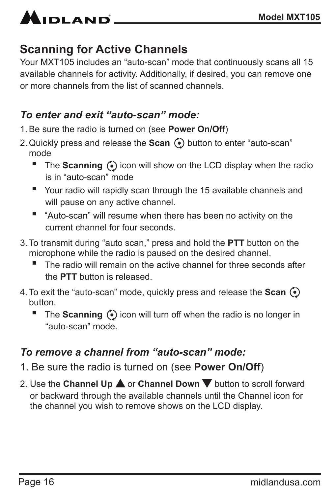

#### **Scanning for Active Channels**

Your MXT105 includes an "auto-scan" mode that continuously scans all 15 available channels for activity. Additionally, if desired, you can remove one or more channels from the list of scanned channels.

#### *To enter and exit "auto-scan" mode:*

1.Be sure the radio is turned on (see **Power On/Off**)

- 2. Quickly press and release the **Scan (e)** button to enter "auto-scan" mode
	- The **Scanning ⓒ** icon will show on the LCD display when the radio is in "auto-scan" mode
	- Your radio will rapidly scan through the 15 available channels and will pause on any active channel.
	- "Auto-scan" will resume when there has been no activity on the current channel for four seconds.
- 3. To transmit during "auto scan," press and hold the **PTT** button on the microphone while the radio is paused on the desired channel.
	- The radio will remain on the active channel for three seconds after the **PTT** button is released.
- 4. To exit the "auto-scan" mode, quickly press and release the **Scan** button.
	- The **Scanning ⓒ** icon will turn off when the radio is no longer in "auto-scan" mode.

#### *To remove a channel from "auto-scan" mode:*

- 1. Be sure the radio is turned on (see **Power On/Off**)
- 2. Use the **Channel Up ▲ or Channel Down** ▼ button to scroll forward or backward through the available channels until the Channel icon for the channel you wish to remove shows on the LCD display.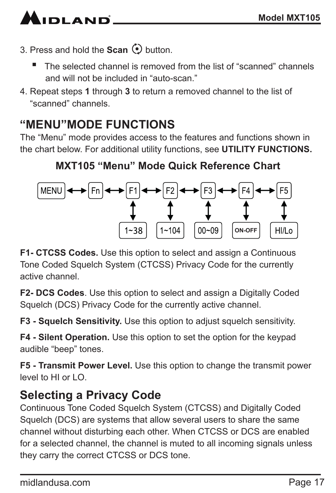

- 3. Press and hold the **Scan**  $\odot$  button.
	- The selected channel is removed from the list of "scanned" channels and will not be included in "auto-scan."
- 4. Repeat steps **1** through **3** to return a removed channel to the list of "scanned" channels.

# **"MENU"MODE FUNCTIONS**

The "Menu" mode provides access to the features and functions shown in the chart below. For additional utility functions, see **UTILITY FUNCTIONS.**

**MXT105 "Menu" Mode Quick Reference Chart**



**F1- CTCSS Codes.** Use this option to select and assign a Continuous Tone Coded Squelch System (CTCSS) Privacy Code for the currently active channel.

**F2- DCS Codes**. Use this option to select and assign a Digitally Coded Squelch (DCS) Privacy Code for the currently active channel.

**F3 - Squelch Sensitivity.** Use this option to adjust squelch sensitivity.

**F4 - Silent Operation.** Use this option to set the option for the keypad audible "beep" tones.

**F5 - Transmit Power Level.** Use this option to change the transmit power level to HI or LO.

# **Selecting a Privacy Code**

Continuous Tone Coded Squelch System (CTCSS) and Digitally Coded Squelch (DCS) are systems that allow several users to share the same channel without disturbing each other. When CTCSS or DCS are enabled for a selected channel, the channel is muted to all incoming signals unless they carry the correct CTCSS or DCS tone.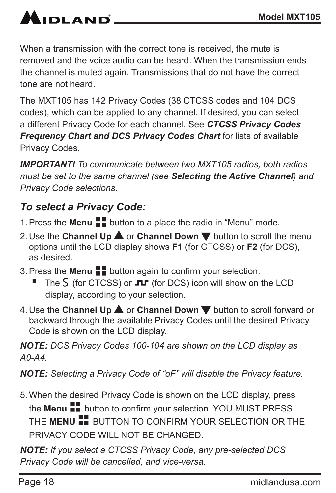

When a transmission with the correct tone is received, the mute is removed and the voice audio can be heard. When the transmission ends the channel is muted again. Transmissions that do not have the correct tone are not heard.

The MXT105 has 142 Privacy Codes (38 CTCSS codes and 104 DCS codes), which can be applied to any channel. If desired, you can select a different Privacy Code for each channel. See *CTCSS Privacy Codes Frequency Chart and DCS Privacy Codes Chart* for lists of available Privacy Codes.

*IMPORTANT! To communicate between two MXT105 radios, both radios must be set to the same channel (see Selecting the Active Channel) and Privacy Code selections.*

#### *To select a Privacy Code:*

- 1. Press the **Menu button** to a place the radio in "Menu" mode.
- 2. Use the **Channel Up ▲ or Channel Down** ▼ button to scroll the menu options until the LCD display shows **F1** (for CTCSS) or **F2** (for DCS), as desired.
- 3.Press the **Menu** button again to confirm your selection.
	- The  $\overline{S}$  (for CTCSS) or  $\overline{J}$  (for DCS) icon will show on the LCD display, according to your selection.
- 4. Use the **Channel Up ▲ or Channel Down** button to scroll forward or backward through the available Privacy Codes until the desired Privacy Code is shown on the LCD display.

*NOTE: DCS Privacy Codes 100-104 are shown on the LCD display as A0-A4.*

*NOTE: Selecting a Privacy Code of "oF" will disable the Privacy feature.*

5. When the desired Privacy Code is shown on the LCD display, press the **Menu button** to confirm your selection. YOU MUST PRESS THE **MENU** BUTTON TO CONFIRM YOUR SELECTION OR THE PRIVACY CODE WILL NOT BE CHANGED.

*NOTE: If you select a CTCSS Privacy Code, any pre-selected DCS Privacy Code will be cancelled, and vice-versa.*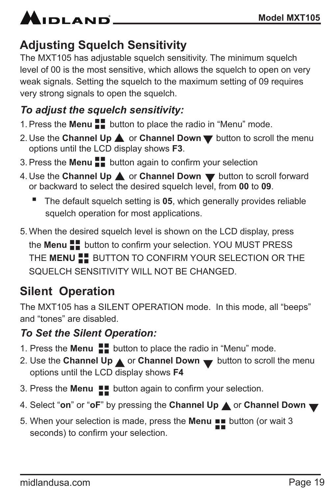

# **Adjusting Squelch Sensitivity**

The MXT105 has adjustable squelch sensitivity. The minimum squelch level of 00 is the most sensitive, which allows the squelch to open on very weak signals. Setting the squelch to the maximum setting of 09 requires very strong signals to open the squelch.

#### *To adjust the squelch sensitivity:*

- 1. Press the **Menu II** button to place the radio in "Menu" mode.
- 2. Use the **Channel Up ▲** or **Channel Down** button to scroll the menu options until the LCD display shows **F3**.
- 3.Press the **Menu** button again to confirm your selection
- 4. Use the **Channel Up A** or **Channel Down v** button to scroll forward or backward to select the desired squelch level, from **00** to **09**.
	- The default squelch setting is 05, which generally provides reliable squelch operation for most applications.
- 5. When the desired squelch level is shown on the LCD display, press the **Menu button** to confirm your selection. YOU MUST PRESS THE **MENU BUTTON TO CONFIRM YOUR SELECTION OR THE** SOUELCH SENSITIVITY WILL NOT BE CHANGED.

# **Silent Operation**

The MXT105 has a SILENT OPERATION mode. In this mode, all "beeps" and "tones" are disabled.

#### *To Set the Silent Operation:*

- 1. Press the **Menu button** to place the radio in "Menu" mode.
- 2. Use the **Channel Up** ▲ or **Channel Down** button to scroll the menu options until the LCD display shows **F4**
- 3. Press the **Menu e** button again to confirm your selection.
- 4. Select "on" or "oF" by pressing the Channel Up ▲ or Channel Down
- 5. When your selection is made, press the **Menu** button (or wait 3 seconds) to confirm your selection.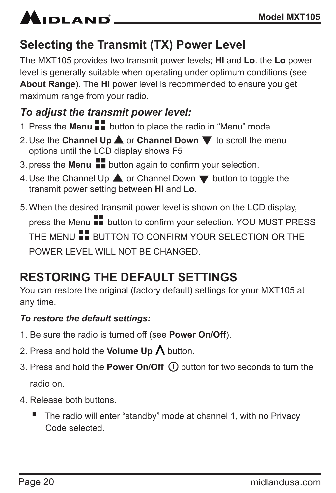

# **Selecting the Transmit (TX) Power Level**

The MXT105 provides two transmit power levels; **HI** and **Lo**. the **Lo** power level is generally suitable when operating under optimum conditions (see **About Range**). The **HI** power level is recommended to ensure you get maximum range from your radio.

#### *To adjust the transmit power level:*

- 1.Press the **Menu** button to place the radio in "Menu" mode.
- 2. Use the **Channel Up ▲ or Channel Down** ▼ to scroll the menu options until the LCD display shows F5
- 3. press the **Menu** button again to confirm your selection.
- 4. Use the Channel Up  $\blacktriangle$  or Channel Down  $\nabla$  button to toggle the transmit power setting between **HI** and **Lo**.
- 5. When the desired transmit power level is shown on the LCD display, press the Menu  $\blacksquare$  button to confirm your selection. YOU MUST PRESS THE MENU **BUTTON TO CONFIRM YOUR SELECTION OR THE** POWER LEVEL WILL NOT BE CHANGED.

## **RESTORING THE DEFAULT SETTINGS**

You can restore the original (factory default) settings for your MXT105 at any time.

#### *To restore the default settings:*

- 1. Be sure the radio is turned off (see **Power On/Off**).
- 2. Press and hold the **Volume Up**  $\Lambda$  button.
- 3. Press and hold the **Power On/Off**  $\Omega$  button for two seconds to turn the radio on.
- 4. Release both buttons.
	- The radio will enter "standby" mode at channel 1, with no Privacy Code selected.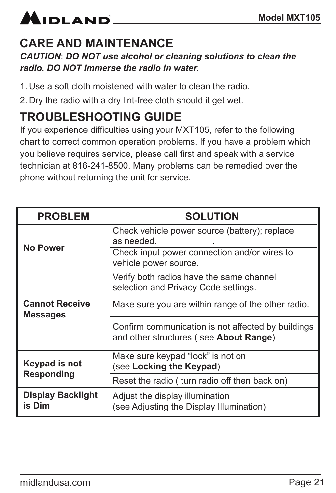

#### **CARE AND MAINTENANCE**

*CAUTION*: *DO NOT use alcohol or cleaning solutions to clean the radio. DO NOT immerse the radio in water.*

1. Use a soft cloth moistened with water to clean the radio.

2. Dry the radio with a dry lint-free cloth should it get wet.

#### **TROUBLESHOOTING GUIDE**

If you experience difficulties using your MXT105, refer to the following chart to correct common operation problems. If you have a problem which you believe requires service, please call first and speak with a service technician at 816-241-8500. Many problems can be remedied over the phone without returning the unit for service.

| <b>PROBLEM</b>                           | <b>SOLUTION</b>                                                                              |  |  |  |  |
|------------------------------------------|----------------------------------------------------------------------------------------------|--|--|--|--|
| No Power                                 | Check vehicle power source (battery); replace<br>as needed.                                  |  |  |  |  |
|                                          | Check input power connection and/or wires to<br>vehicle power source.                        |  |  |  |  |
|                                          | Verify both radios have the same channel<br>selection and Privacy Code settings.             |  |  |  |  |
| <b>Cannot Receive</b><br><b>Messages</b> | Make sure you are within range of the other radio.                                           |  |  |  |  |
|                                          | Confirm communication is not affected by buildings<br>and other structures (see About Range) |  |  |  |  |
| Keypad is not                            | Make sure keypad "lock" is not on<br>(see Locking the Keypad)                                |  |  |  |  |
| Responding                               | Reset the radio ( turn radio off then back on)                                               |  |  |  |  |
| <b>Display Backlight</b><br>is Dim       | Adjust the display illumination<br>(see Adjusting the Display Illumination)                  |  |  |  |  |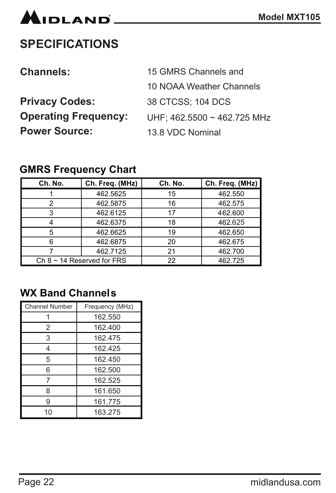# $\bigwedge$ idland $\hspace{1.5cm}$

# **SPECIFICATIONS**

| <b>Channels:</b>            | 15 GMRS Channels and        |
|-----------------------------|-----------------------------|
|                             | 10 NOAA Weather Channels    |
| <b>Privacy Codes:</b>       | 38 CTCSS: 104 DCS           |
| <b>Operating Frequency:</b> | UHF: 462.5500 ~ 462.725 MHz |
| <b>Power Source:</b>        | 13.8 VDC Nominal            |

#### **GMRS Frequency Chart**

| Ch. No. | Ch. Freq. (MHz)            | Ch. No. | Ch. Freq. (MHz) |  |  |
|---------|----------------------------|---------|-----------------|--|--|
|         | 462.5625                   | 15      | 462.550         |  |  |
|         | 462.5875                   | 16      | 462.575         |  |  |
|         | 462.6125                   |         | 462.600         |  |  |
|         | 462.6375                   | 18      | 462.625         |  |  |
|         | 462.6625                   | 19      | 462.650         |  |  |
|         | 462.6875                   | 20      | 462.675         |  |  |
|         | 462.7125                   | 21      | 462.700         |  |  |
|         | Ch 8 ~ 14 Reserved for FRS | 22      | 462.725         |  |  |

#### **WX Band Channels**

| Channel Number | Frequency (MHz) |
|----------------|-----------------|
|                | 162.550         |
| 2              | 162.400         |
| 3              | 162.475         |
| 4              | 162.425         |
| 5              | 162.450         |
| 6              | 162.500         |
| 7              | 162.525         |
| 8              | 161.650         |
| 9              | 161.775         |
| 10             | 163.275         |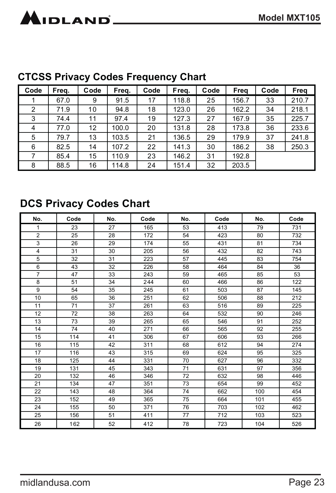

| Code           | Frea. | Code | Frea. | Code | Frea. | Code | Frea  | Code | Frea  |
|----------------|-------|------|-------|------|-------|------|-------|------|-------|
|                | 67.0  | 9    | 91.5  | 17   | 118.8 | 25   | 156.7 | 33   | 210.7 |
| $\overline{2}$ | 71.9  | 10   | 94.8  | 18   | 123.0 | 26   | 162.2 | 34   | 218.1 |
| 3              | 74.4  | 11   | 97.4  | 19   | 127.3 | 27   | 167.9 | 35   | 225.7 |
| 4              | 77.0  | 12   | 100.0 | 20   | 131.8 | 28   | 173.8 | 36   | 233.6 |
| 5              | 79.7  | 13   | 103.5 | 21   | 136.5 | 29   | 179.9 | 37   | 241.8 |
| 6              | 82.5  | 14   | 107.2 | 22   | 141.3 | 30   | 186.2 | 38   | 250.3 |
|                | 85.4  | 15   | 110.9 | 23   | 146.2 | 31   | 192.8 |      |       |
| 8              | 88.5  | 16   | 114.8 | 24   | 151.4 | 32   | 203.5 |      |       |

#### **CTCSS Privacy Codes Frequency Chart**

#### **DCS Privacy Codes Chart**

| No.            | Code | No. | Code | No.             | Code | No. | Code |
|----------------|------|-----|------|-----------------|------|-----|------|
| 1              | 23   | 27  | 165  | 53              | 413  | 79  | 731  |
| $\overline{a}$ | 25   | 28  | 172  | 54              | 423  | 80  | 732  |
| 3              | 26   | 29  | 174  | 55              | 431  | 81  | 734  |
| 4              | 31   | 30  | 205  | 56              | 432  | 82  | 743  |
| 5              | 32   | 31  | 223  | 57              | 445  | 83  | 754  |
| 6              | 43   | 32  | 226  | 58              | 464  | 84  | 36   |
| $\overline{7}$ | 47   | 33  | 243  | 59              | 465  | 85  | 53   |
| 8              | 51   | 34  | 244  | 60              | 466  | 86  | 122  |
| 9              | 54   | 35  | 245  | 61              | 503  | 87  | 145  |
| 10             | 65   | 36  | 251  | 62              | 506  | 88  | 212  |
| 11             | 71   | 37  | 261  | 63              | 516  | 89  | 225  |
| 12             | 72   | 38  | 263  | 64              | 532  | 90  | 246  |
| 13             | 73   | 39  | 265  | 65              | 546  | 91  | 252  |
| 14             | 74   | 40  | 271  | 66              | 565  | 92  | 255  |
| 15             | 114  | 41  | 306  | 67              | 606  | 93  | 266  |
| 16             | 115  | 42  | 311  | 68              | 612  | 94  | 274  |
| 17             | 116  | 43  | 315  | 69              | 624  | 95  | 325  |
| 18             | 125  | 44  | 331  | 70              | 627  | 96  | 332  |
| 19             | 131  | 45  | 343  | 71              | 631  | 97  | 356  |
| 20             | 132  | 46  | 346  | 72              | 632  | 98  | 446  |
| 21             | 134  | 47  | 351  | 73              | 654  | 99  | 452  |
| 22             | 143  | 48  | 364  | 74              | 662  | 100 | 454  |
| 23             | 152  | 49  | 365  | 75              | 664  | 101 | 455  |
| 24             | 155  | 50  | 371  | 76              | 703  | 102 | 462  |
| 25             | 156  | 51  | 411  | $\overline{77}$ | 712  | 103 | 523  |
| 26             | 162  | 52  | 412  | 78              | 723  | 104 | 526  |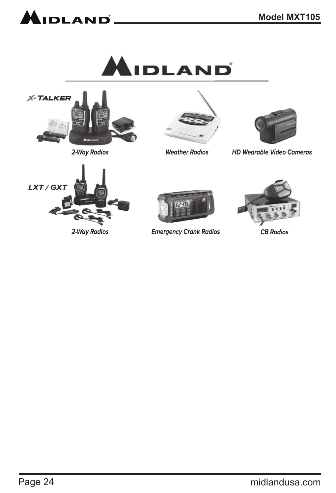











**Weather Radios**

**HD Wearable Video Cameras**



**2-Way Radios**



**Emergency Crank Radios**



**CB Radios**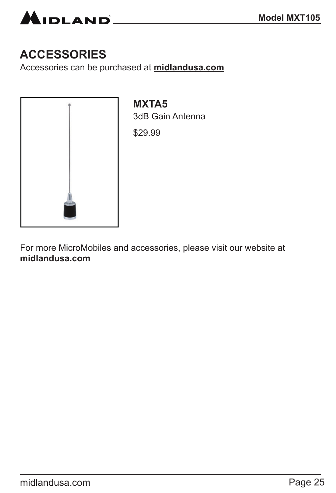

#### **ACCESSORIES**

Accessories can be purchased at **midlandusa.com**



**MXTA5** 3dB Gain Antenna

\$29.99

For more MicroMobiles and accessories, please visit our website at **midlandusa.com**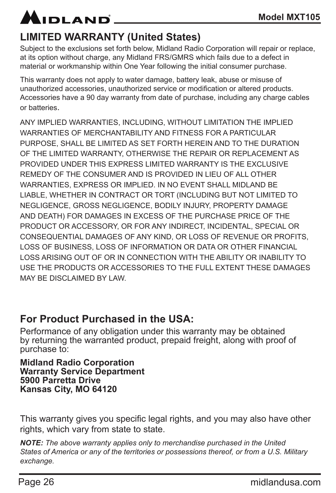

#### **LIMITED WARRANTY (United States)**

Subject to the exclusions set forth below, Midland Radio Corporation will repair or replace, at its option without charge, any Midland FRS/GMRS which fails due to a defect in material or workmanship within One Year following the initial consumer purchase.

This warranty does not apply to water damage, battery leak, abuse or misuse of unauthorized accessories, unauthorized service or modification or altered products. Accessories have a 90 day warranty from date of purchase, including any charge cables or batteries.

ANY IMPLIED WARRANTIES, INCLUDING, WITHOUT LIMITATION THE IMPLIED WARRANTIES OF MERCHANTABILITY AND FITNESS FOR A PARTICULAR PURPOSE, SHALL BE LIMITED AS SET FORTH HEREIN AND TO THE DURATION OF THE LIMITED WARRANTY, OTHERWISE THE REPAIR OR REPLACEMENT AS PROVIDED UNDER THIS EXPRESS LIMITED WARRANTY IS THE EXCLUSIVE REMEDY OF THE CONSUMER AND IS PROVIDED IN LIEU OF ALL OTHER WARRANTIES, EXPRESS OR IMPLIED. IN NO EVENT SHALL MIDLAND BE LIABLE, WHETHER IN CONTRACT OR TORT (INCLUDING BUT NOT LIMITED TO NEGLIGENCE, GROSS NEGLIGENCE, BODILY INJURY, PROPERTY DAMAGE AND DEATH) FOR DAMAGES IN EXCESS OF THE PURCHASE PRICE OF THE PRODUCT OR ACCESSORY, OR FOR ANY INDIRECT, INCIDENTAL, SPECIAL OR CONSEQUENTIAL DAMAGES OF ANY KIND, OR LOSS OF REVENUE OR PROFITS, LOSS OF BUSINESS, LOSS OF INFORMATION OR DATA OR OTHER FINANCIAL LOSS ARISING OUT OF OR IN CONNECTION WITH THE ABILITY OR INABILITY TO USE THE PRODUCTS OR ACCESSORIES TO THE FULL EXTENT THESE DAMAGES MAY BE DISCLAIMED BY LAW.

#### **For Product Purchased in the USA:**

Performance of any obligation under this warranty may be obtained by returning the warranted product, prepaid freight, along with proof of purchase to:

**Midland Radio Corporation Warranty Service Department 5900 Parretta Drive Kansas City, MO 64120**

This warranty gives you specific legal rights, and you may also have other rights, which vary from state to state.

*NOTE: The above warranty applies only to merchandise purchased in the United States of America or any of the territories or possessions thereof, or from a U.S. Military exchange.*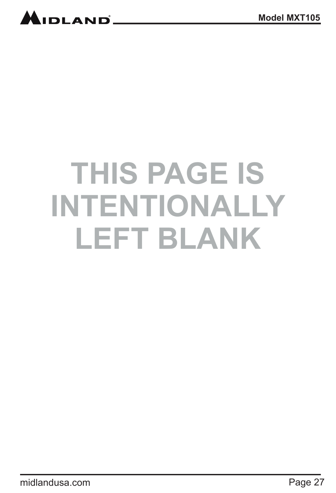

# **THIS PAGE IS INTENTIONALLY LEFT BLANK**